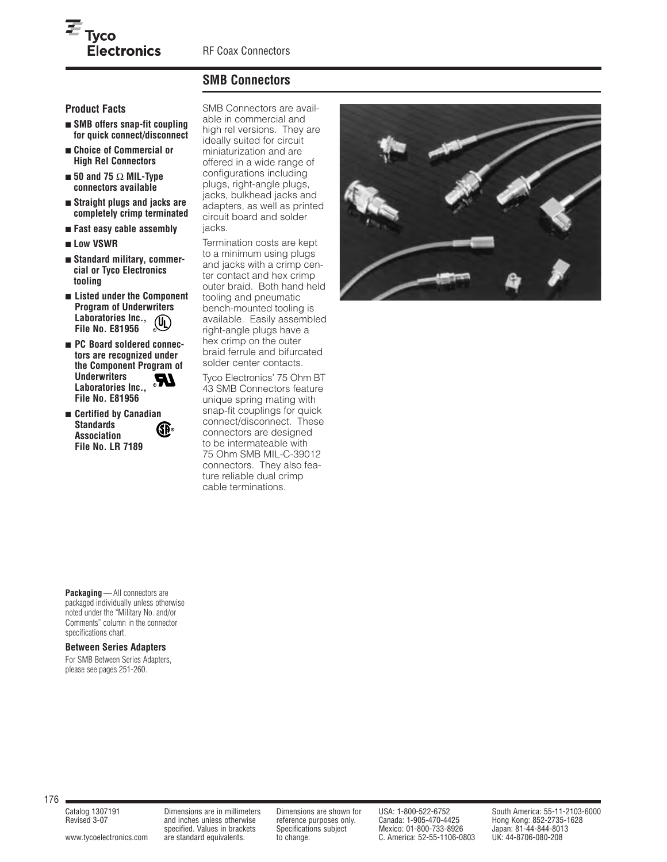## **SMB Connectors**

**Product Facts**

- **SMB offers snap-fit coupling for quick connect/disconnect**
- **Choice of Commercial or High Rel Connectors**
- **50 and 75** Ω **MIL-Type connectors available**
- **Straight plugs and jacks are completely crimp terminated**
- **Fast easy cable assembly**
- **Low VSWR**
- **Standard military, commercial or Tyco Electronics tooling**
- **Listed under the Component Program of Underwriters Laboratories Inc.,**   $(U_L)$ **File No. E81956 R**
- **PC Board soldered connectors are recognized under the Component Program of Underwriters**  Laboratories Inc.,  $^{\circ}$ **File No. E81956**
- **Certified by Canadian Standards Association File No. LR 7189 R**

**Packaging**—All connectors are packaged individually unless otherwise noted under the "Military No. and/or Comments" column in the connector

**Between Series Adapters** For SMB Between Series Adapters, please see pages 251-260.

specifications chart.

SMB Connectors are available in commercial and high rel versions. They are ideally suited for circuit miniaturization and are offered in a wide range of configurations including plugs, right-angle plugs, jacks, bulkhead jacks and adapters, as well as printed circuit board and solder jacks.

Termination costs are kept to a minimum using plugs and jacks with a crimp center contact and hex crimp outer braid. Both hand held tooling and pneumatic bench-mounted tooling is available. Easily assembled right-angle plugs have a hex crimp on the outer braid ferrule and bifurcated solder center contacts.

Tyco Electronics' 75 Ohm BT 43 SMB Connectors feature unique spring mating with snap-fit couplings for quick connect/disconnect. These connectors are designed to be intermateable with 75 Ohm SMB MIL-C-39012 connectors. They also feature reliable dual crimp cable terminations.



176

Revised 3-07 and inches unless otherwise reference purposes only. Canada: 1-905-470-4425 Hong Kong: 852-2735-1628

www.tycoelectronics.com are standard equivalents. to change. C. America: 52-55-1106-0803

Catalog 1307191 Dimensions are in millimeters Dimensions are shown for USA: 1-800-522-6752 South America: 55-11-2103-6000 and inches unless otherwise reference purposes only. Canada: 1-905-470-4425 Hong Kong: 852-2735-1628<br>specified. Values in brackets Specifications subject Mexico: 01-800-733-8926 Japan: 81-44-844-8013<br>are standard equivalen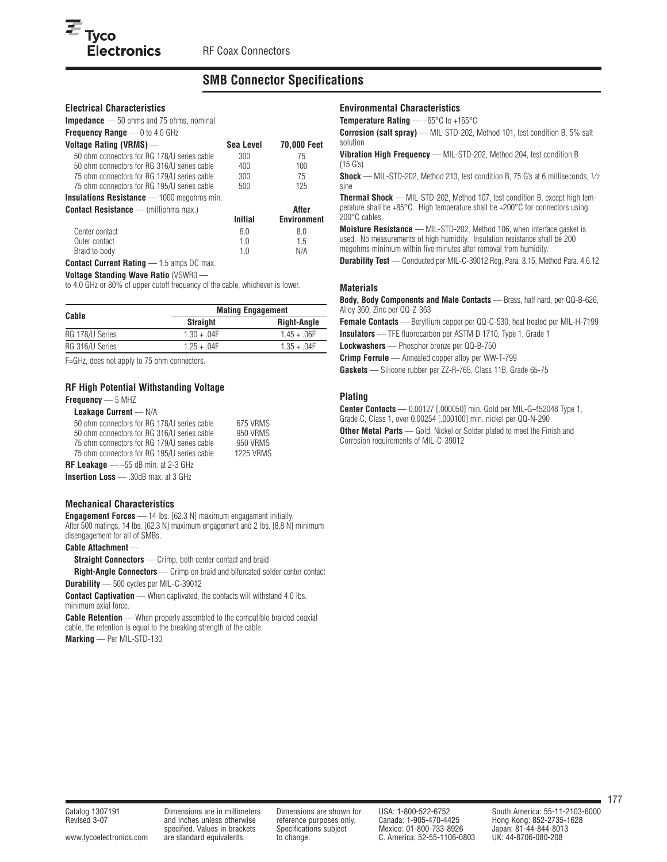## **SMB Connector Specifications**

#### **Electrical Characteristics**

**Electronics** 

 $\overline{\boldsymbol{\Xi}}$  Tyco

**Impedance** — 50 ohms and 75 ohms, nominal **Frequency Range — 0 to 4.0 GHz** 

| <b>TRANSHOW HURRY</b><br>$U\cup T. U \cup I$ |           |                    |
|----------------------------------------------|-----------|--------------------|
| Voltage Rating (VRMS) —                      | Sea Level | <b>70,000 Feet</b> |
| 50 ohm connectors for RG 178/U series cable  | 300       | 75                 |
| 50 ohm connectors for RG 316/U series cable  | 400       | $100 -$            |
| 75 ohm connectors for RG 179/U series cable  | 300       | 75                 |
| 75 ohm connectors for RG 195/U series cable  | 500       | 125                |
|                                              |           |                    |

**Insulations Resistance** — 1000 megohms min.

**Contact Resistance** — (milliohms max.) **After**

|                | Initial | <b>Environment</b> |
|----------------|---------|--------------------|
| Center contact | 60      | 8.0                |
| Outer contact  | 1 0     | 1.5                |
| Braid to body  | 10      | N/A                |
| - -            |         |                    |

**Contact Current Rating** — 1.5 amps DC max.

#### **Voltage Standing Wave Ratio** (VSWR0 —

to 4.0 GHz or 80% of upper cutoff frequency of the cable, whichever is lower.

| Cable           | <b>Mating Engagement</b> |                    |  |  |  |  |
|-----------------|--------------------------|--------------------|--|--|--|--|
|                 | <b>Straight</b>          | <b>Right-Angle</b> |  |  |  |  |
| RG 178/U Series | $1.30 + .04F$            | $1.45 + .06F$      |  |  |  |  |
| RG 316/U Series | $125 + 04F$              | $1.35 + 04F$       |  |  |  |  |

F=GHz, does not apply to 75 ohm connectors.

#### **RF High Potential Withstanding Voltage**

**Frequency** — 5 MHZ

#### **Leakage Current** — N/A

| 50 ohm connectors for RG 178/U series cable  | 675 VRMS         |
|----------------------------------------------|------------------|
| 50 ohm connectors for RG 316/U series cable  | 950 VRMS         |
| 75 ohm connectors for RG 179/U series cable  | 950 VRMS         |
| 75 ohm connectors for RG 195/U series cable  | <b>1225 VRMS</b> |
| <b>RF Leakage</b> — $-55$ dB min. at 2-3 GHz |                  |
| <b>Insertion Loss</b> — .30dB max. at 3 GHz  |                  |

#### **Mechanical Characteristics**

**Engagement Forces** — 14 lbs. [62.3 N] maximum engagement initially. After 500 matings, 14 lbs. [62.3 N] maximum engagement and 2 lbs. [8.8 N] minimum disengagement for all of SMBs.

#### **Cable Attachment** —

**Straight Connectors** — Crimp, both center contact and braid

**Right-Angle Connectors** — Crimp on braid and bifurcated solder center contact

**Durability** — 500 cycles per MIL-C-39012

**Contact Captivation** — When captivated, the contacts will withstand 4.0 lbs. minimum axial force.

**Cable Retention** — When properly assembled to the compatible braided coaxial cable, the retention is equal to the breaking strength of the cable.

**Marking** — Per MIL-STD-130

#### **Environmental Characteristics**

**Temperature Rating** — –65°C to +165°C

**Corrosion (salt spray)** — MIL-STD-202, Method 101, test condition B, 5% salt solution

**Vibration High Frequency** — MIL-STD-202, Method 204, test condition B (15 G's)

**Shock** — MIL-STD-202, Method 213, test condition B, 75 G's at 6 milliseconds, 1/2 sine

**Thermal Shock** — MIL-STD-202, Method 107, test condition B, except high temperature shall be +85°C. High temperature shall be +200°C for connectors using 200°C cables.

**Moisture Resistance** — MIL-STD-202, Method 106, when interface gasket is used. No measurements of high humidity. Insulation resistance shall be 200 megohms minimum within five minutes after removal from humidity.

**Durability Test** — Conducted per MIL-C-39012 Reg. Para. 3.15, Method Para. 4.6.12

#### **Materials**

**Body, Body Components and Male Contacts** — Brass, half hard, per QQ-B-626, Alloy 360, Zinc per QQ-Z-363

**Female Contacts** — Beryllium copper per QQ-C-530, heat treated per MIL-H-7199 **Insulators** — TFE fluorocarbon per ASTM D 1710, Type 1, Grade 1

**Lockwashers** — Phosphor bronze per QQ-B-750

**Crimp Ferrule** — Annealed copper alloy per WW-T-799

**Gaskets** — Silicone rubber per ZZ-R-765, Class 11B, Grade 65-75

## **Plating**

**Center Contacts** — 0.00127 [.000050] min. Gold per MIL-G-452048 Type 1, Grade C, Class 1, over 0.00254 [.000100] min. nickel per QQ-N-290 **Other Metal Parts** — Gold, Nickel or Solder plated to meet the Finish and Corrosion requirements of MIL-C-39012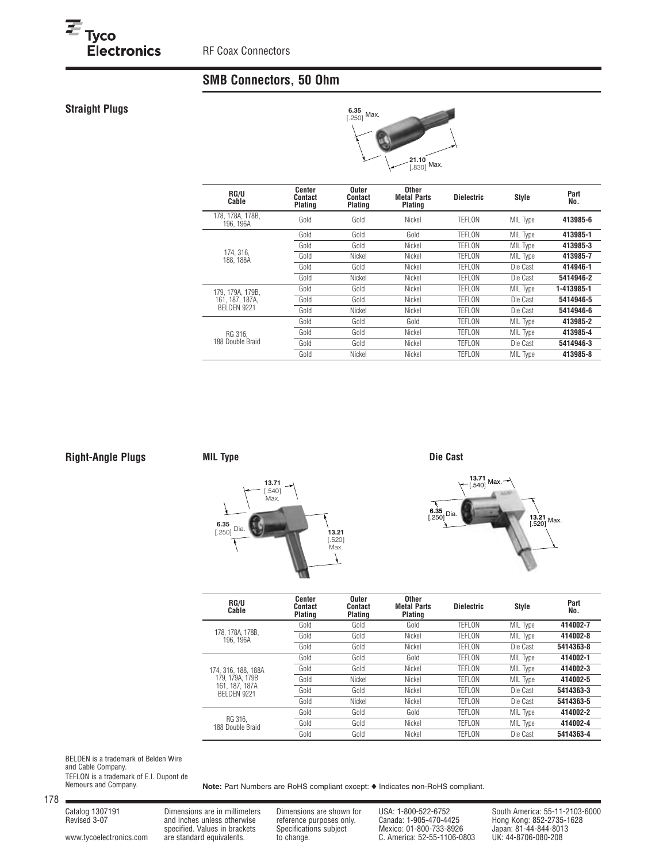# **SMB Connectors, 50 Ohm**

## **Straight Plugs**

<sup>三</sup> Tyco<br>Electronics<br>————————————————————



| <b>RG/U</b><br>Cable          | Center<br>Contact<br>Plating | Outer<br>Contact<br>Plating | Other<br><b>Metal Parts</b><br>Plating | <b>Dielectric</b> | <b>Style</b> | Part<br>No. |
|-------------------------------|------------------------------|-----------------------------|----------------------------------------|-------------------|--------------|-------------|
| 178, 178A, 178B,<br>196. 196A | Gold                         | Gold                        | Nickel                                 | <b>TEFLON</b>     | MIL Type     | 413985-6    |
|                               | Gold                         | Gold                        | Gold                                   | <b>TEFLON</b>     | MIL Type     | 413985-1    |
|                               | Gold                         | Gold                        | Nickel                                 | <b>TEFLON</b>     | MIL Type     | 413985-3    |
| 174.316.<br>188. 188A         | Gold                         | Nickel                      | Nickel                                 | TEFLON            | MIL Type     | 413985-7    |
|                               | Gold                         | Gold                        | Nickel                                 | <b>TEFLON</b>     | Die Cast     | 414946-1    |
|                               | Gold                         | Nickel                      | Nickel                                 | TEFLON            | Die Cast     | 5414946-2   |
| 179, 179A, 179B,              | Gold                         | Gold                        | Nickel                                 | <b>TEFLON</b>     | MIL Type     | 1-413985-1  |
| 161, 187, 187A.               | Gold                         | Gold                        | Nickel                                 | TEFLON            | Die Cast     | 5414946-5   |
| BELDEN 9221                   | Gold                         | Nickel                      | Nickel                                 | TEFLON            | Die Cast     | 5414946-6   |
|                               | Gold                         | Gold                        | Gold                                   | TEFLON            | MIL Type     | 413985-2    |
| RG 316.                       | Gold                         | Gold                        | Nickel                                 | TEFLON            | MIL Type     | 413985-4    |
| 188 Double Braid              | Gold                         | Gold                        | Nickel                                 | TEFLON            | Die Cast     | 5414946-3   |
|                               | Gold                         | Nickel                      | Nickel                                 | <b>TEFLON</b>     | MIL Type     | 413985-8    |

## **Right-Angle Plugs**

## **MIL Type Die Cast**





| RG/U<br>Cable                        | Center<br>Contact<br>Plating | Outer<br>Contact<br>Plating | Other<br><b>Metal Parts</b><br>Plating | <b>Dielectric</b> | <b>Style</b> | Part<br>No. |
|--------------------------------------|------------------------------|-----------------------------|----------------------------------------|-------------------|--------------|-------------|
|                                      | Gold                         | Gold                        | Gold                                   | TEFLON            | MIL Type     | 414002-7    |
| 178, 178A, 178B.<br>196. 196A        | Gold                         | Gold                        | Nickel                                 | <b>TEFLON</b>     | MIL Type     | 414002-8    |
|                                      | Gold                         | Gold                        | Nickel                                 | TEFLON            | Die Cast     | 5414363-8   |
|                                      | Gold                         | Gold                        | Gold                                   | TEFLON            | MIL Type     | 414002-1    |
| 174, 316, 188, 188A                  | Gold                         | Gold                        | Nickel                                 | <b>TEFLON</b>     | MIL Type     | 414002-3    |
| 179, 179A, 179B                      | Gold                         | Nickel                      | Nickel                                 | TEFLON            | MIL Type     | 414002-5    |
| 161, 187, 187A<br><b>BELDEN 9221</b> | Gold                         | Gold                        | Nickel                                 | TEFLON            | Die Cast     | 5414363-3   |
|                                      | Gold                         | Nickel                      | Nickel                                 | <b>TEFLON</b>     | Die Cast     | 5414363-5   |
|                                      | Gold                         | Gold                        | Gold                                   | <b>TEFLON</b>     | MIL Type     | 414002-2    |
| RG 316.<br>188 Double Braid          | Gold                         | Gold                        | Nickel                                 | TEFLON            | MIL Type     | 414002-4    |
|                                      | Gold                         | Gold                        | Nickel                                 | <b>TEFLON</b>     | Die Cast     | 5414363-4   |

BELDEN is a trademark of Belden Wire and Cable Company. TEFLON is a trademark of E.I. Dupont de Nemours and Company.

178

www.tycoelectronics.com are standard equivalents. to change. C. America: 52-55-1106-0803

Note: Part Numbers are RoHS compliant except:  $\blacklozenge$  Indicates non-RoHS compliant.

Revised 3-07 and inches unless otherwise reference purposes only. Canada: 1-905-470-4425 Hong Kong: 852-2735-1628 specified. Values in brackets Specifications subject Mexico: 01-800-733-8926 Japan: 81-44-844-8013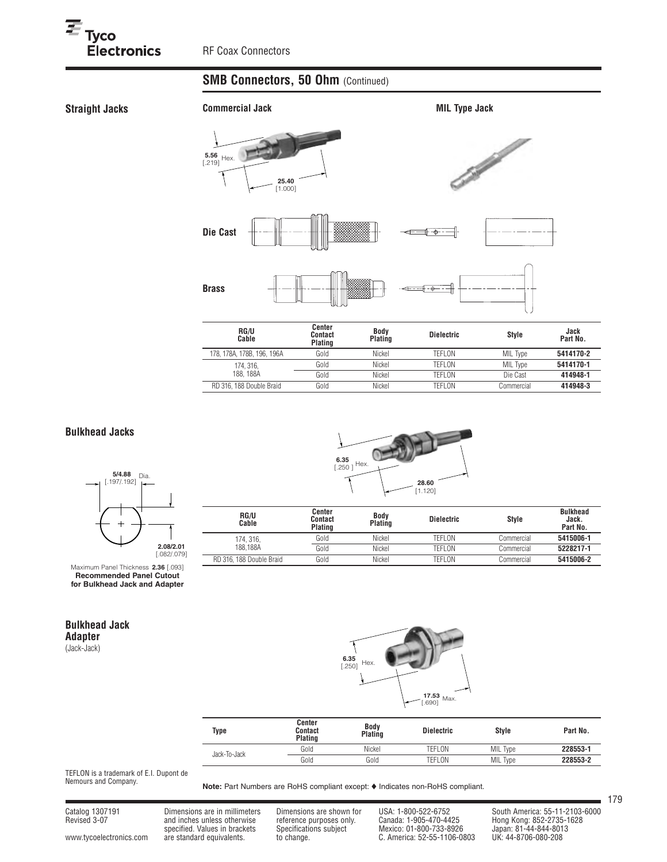# **SMB Connectors, 50 Ohm (Continued)**

**Straight Jacks**



| <b>RG/U</b><br>Cable       | Center<br><b>Contact</b><br>Plating | Body<br><b>Plating</b> | <b>Dielectric</b> | <b>Style</b>    | Jack<br>Part No. |
|----------------------------|-------------------------------------|------------------------|-------------------|-----------------|------------------|
| 178, 178A, 178B, 196, 196A | Gold                                | Nickel                 | TEFLON            | <b>MIL Type</b> | 5414170-2        |
| 174, 316,                  | Gold                                | Nickel                 | TEFLON            | <b>MIL Type</b> | 5414170-1        |
| 188, 188A                  | Gold                                | Nickel                 | TEFLON            | Die Cast        | 414948-1         |
| RD 316, 188 Double Braid   | Gold                                | Nickel                 | TEFLON            | Commercial      | 414948-3         |
|                            |                                     |                        |                   |                 |                  |

## **Bulkhead Jacks**



Maximum Panel Thickness **2.36** [.093] **Recommended Panel Cutout for Bulkhead Jack and Adapter**

## **Bulkhead Jack Adapter**

(Jack-Jack)



| RG/U<br>Cable            | Center<br>Contact<br>Plating | <b>Body</b><br><b>Plating</b> | <b>Dielectric</b> | Style      | <b>Bulkhead</b><br>Jack.<br>Part No. |
|--------------------------|------------------------------|-------------------------------|-------------------|------------|--------------------------------------|
| 174.316.<br>188.188A     | Gold                         | Nickel                        | TEFLON            | Commercial | 5415006-1                            |
|                          | Gold                         | Nickel                        | TEFLON            | Commercial | 5228217-1                            |
| RD 316, 188 Double Braid | Gold                         | Nickel                        | TEFLON            | Commercial | 5415006-2                            |



| Type         | Center<br>Contact<br>Plating | <b>Body</b><br>Plating | <b>Dielectric</b> | <b>Style</b> | Part No. |
|--------------|------------------------------|------------------------|-------------------|--------------|----------|
| Jack-To-Jack | Gold                         | Nickel                 | TEFLON            | MIL Type     | 228553-1 |
|              | Gold                         | Gold                   | TEFLON            | MIL Type     | 228553-2 |

TEFLON is a trademark of E.I. Dupont de Nemours and Company.

Note: Part Numbers are RoHS compliant except:  $\blacklozenge$  Indicates non-RoHS compliant.

Catalog 1307191 Dimensions are in millimeters Dimensions are shown for USA: 1-800-522-6752 South America: 55-11-2103-6000<br>Revised 3-07 and inches unless otherwise reference purposes only. Canada: 1-905-470-4425 Hong Kong: Revised 3-07 and inches unless otherwise reference purposes only. Canada: 1-905-470-4425 Hong Kong: 852-2735-1628 specified. Values in brackets Specifications subject Mexico: 01-800-733-8926 Japan: 81-44-844-8013 www.tycoelectronics.com are standard equivalents. to change. C. America: 52-55-1106-0803 UK: 44-8706-080-208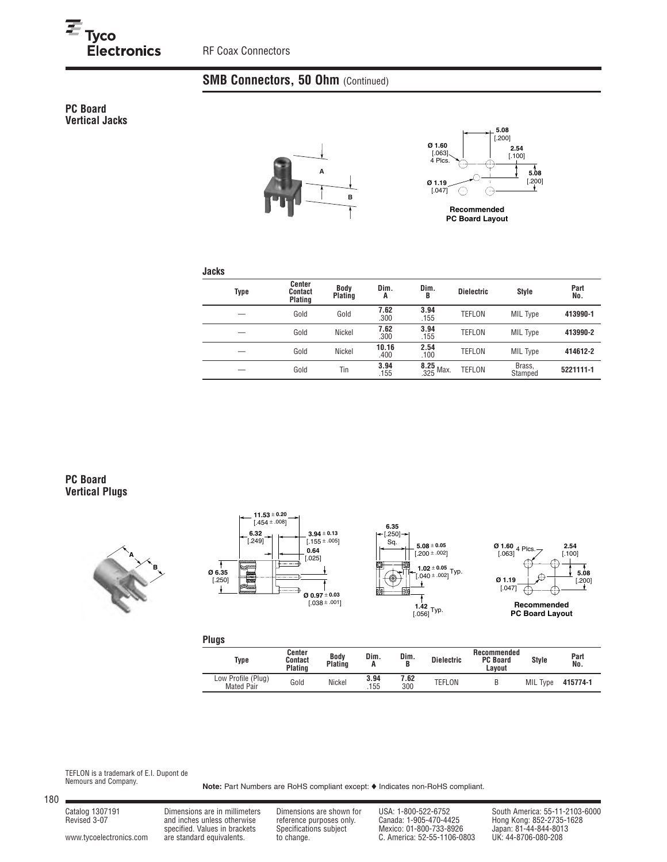RF Coax Connectors

## **SMB Connectors, 50 Ohm (Continued)**

**PC Board Vertical Jacks**





**Recommended PC Board Layout**

#### **Jacks**

| Type | Center<br>Contact<br>Plating | <b>Body</b><br>Plating | Dim.<br>A     | Dim.<br>B                | <b>Dielectric</b> | <b>Style</b>      | Part<br>No. |
|------|------------------------------|------------------------|---------------|--------------------------|-------------------|-------------------|-------------|
|      | Gold                         | Gold                   | 7.62<br>.300  | 3.94<br>.155             | <b>TEFLON</b>     | MIL Type          | 413990-1    |
|      | Gold                         | Nickel                 | 7.62<br>.300  | 3.94<br>.155             | <b>TEFLON</b>     | MIL Type          | 413990-2    |
|      | Gold                         | Nickel                 | 10.16<br>.400 | 2.54<br>.100             | <b>TEFLON</b>     | MIL Type          | 414612-2    |
|      | Gold                         | Tin                    | 3.94<br>.155  | $\frac{8.25}{.325}$ Max. | <b>TEFLON</b>     | Brass,<br>Stamped | 5221111-1   |

#### **PC Board Vertical Plugs**









**Recommended PC Board Layout**

**Plugs**

| Type                                    | Center<br>Contact<br><b>Plating</b> | Body<br><b>Plating</b> | Dim.<br>n   | Dim.        | <b>Dielectric</b> | Recommended<br><b>PC Board</b><br>Lavout | <b>Style</b> | Part<br>No. |
|-----------------------------------------|-------------------------------------|------------------------|-------------|-------------|-------------------|------------------------------------------|--------------|-------------|
| Low Profile (Plug)<br><b>Mated Pair</b> | Gold                                | Nickel                 | 3.94<br>155 | 7.62<br>300 | TEFLON            |                                          | MIL Type     | 415774-1    |

TEFLON is a trademark of E.I. Dupont de Nemours and Company.

Note: Part Numbers are RoHS compliant except:  $\blacklozenge$  Indicates non-RoHS compliant.

www.tycoelectronics.com are standard equivalents. big change. C. America: 52-55-1106-0803

Revised 3-07 and inches unless otherwise reference purposes only. Canada: 1-905-470-4425 Hong Kong: 852-2735-1628 specified. Values in brackets Specifications subject Mexico: 01-800-733-8926 Japan: 81-44-844-8013

Catalog 1307191 Dimensions are in millimeters Dimensions are shown for USA: 1-800-522-6752 South America: 55-11-2103-6000<br>Revised 3-07 and inches unless otherwise reference purposes only. Canada: 1-905-470-4425 Hong Kong: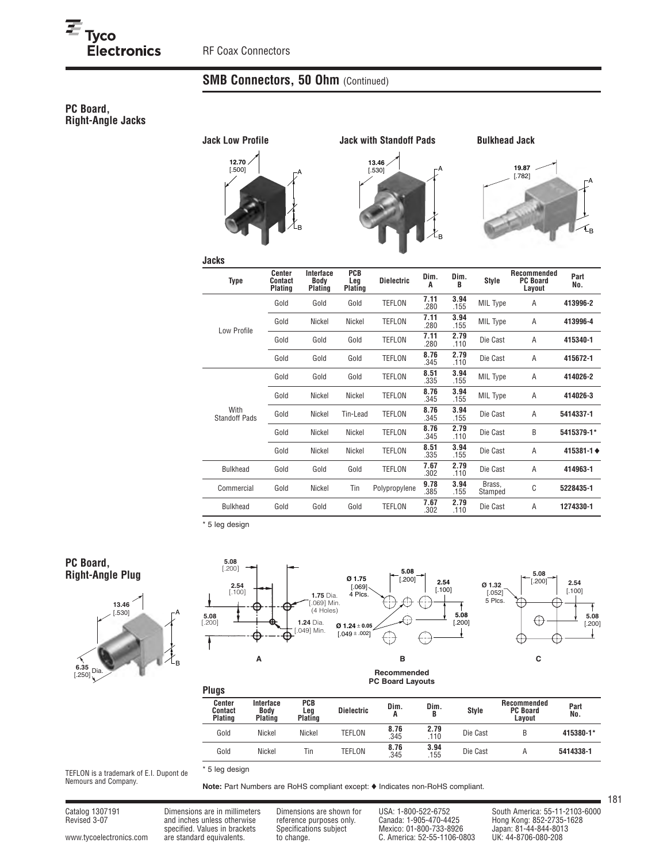# **SMB Connectors, 50 Ohm (Continued)**

## **PC Board, Right-Angle Jacks**



**Jacks**



**Bulkhead Jack**



| <b>Type</b>                  | Center<br><b>Contact</b><br>Plating | Interface<br>Body<br>Plating | PCB<br>Leg<br>Plating | <b>Dielectric</b> | Dim.<br>A    | Dim.<br>B    | <b>Style</b>      | Recommended<br><b>PC Board</b><br>Layout | Part<br>No. |
|------------------------------|-------------------------------------|------------------------------|-----------------------|-------------------|--------------|--------------|-------------------|------------------------------------------|-------------|
| Low Profile                  | Gold                                | Gold                         | Gold                  | <b>TEFLON</b>     | 7.11<br>.280 | 3.94<br>.155 | MIL Type          | A                                        | 413996-2    |
|                              | Gold                                | Nickel                       | Nickel                | TEFLON            | 7.11<br>.280 | 3.94<br>.155 | MIL Type          | Α                                        | 413996-4    |
|                              | Gold                                | Gold                         | Gold                  | TEFLON            | 7.11<br>.280 | 2.79<br>.110 | Die Cast          | A                                        | 415340-1    |
|                              | Gold                                | Gold                         | Gold                  | TEFLON            | 8.76<br>.345 | 2.79<br>.110 | Die Cast          | A                                        | 415672-1    |
|                              | Gold                                | Gold                         | Gold                  | TEFLON            | 8.51<br>.335 | 3.94<br>.155 | MIL Type          | A                                        | 414026-2    |
|                              | Gold                                | Nickel                       | Nickel                | <b>TEFLON</b>     | 8.76<br>.345 | 3.94<br>.155 | MIL Type          | A                                        | 414026-3    |
| With<br><b>Standoff Pads</b> | Gold                                | Nickel                       | Tin-Lead              | <b>TEFLON</b>     | 8.76<br>.345 | 3.94<br>.155 | Die Cast          | A                                        | 5414337-1   |
|                              | Gold                                | Nickel                       | Nickel                | TEFLON            | 8.76<br>.345 | 2.79<br>.110 | Die Cast          | B                                        | 5415379-1*  |
|                              | Gold                                | Nickel                       | Nickel                | TEFLON            | 8.51<br>.335 | 3.94<br>.155 | Die Cast          | A                                        | 415381-1 ♦  |
| <b>Bulkhead</b>              | Gold                                | Gold                         | Gold                  | TEFLON            | 7.67<br>.302 | 2.79<br>.110 | Die Cast          | A                                        | 414963-1    |
| Commercial                   | Gold                                | Nickel                       | Tin                   | Polypropylene     | 9.78<br>.385 | 3.94<br>.155 | Brass,<br>Stamped | C                                        | 5228435-1   |
| <b>Bulkhead</b>              | Gold                                | Gold                         | Gold                  | <b>TEFLON</b>     | 7.67<br>.302 | 2.79<br>.110 | Die Cast          | A                                        | 1274330-1   |

\* 5 leg design

### **PC Board, Right-Angle Plug**





**Plugs**

| <b>Pluys</b>                        |                              |                       |                   |              |             |              |                                          |             |
|-------------------------------------|------------------------------|-----------------------|-------------------|--------------|-------------|--------------|------------------------------------------|-------------|
| Center<br><b>Contact</b><br>Plating | Interface<br>Body<br>Plating | PCB<br>Leg<br>Plating | <b>Dielectric</b> | Dim.<br>A    | Dim.<br>B   | <b>Style</b> | Recommended<br><b>PC Board</b><br>Lavout | Part<br>No. |
| Gold                                | Nickel                       | Nickel                | TEFLON            | 8.76<br>.345 | 2.79<br>110 | Die Cast     |                                          | 415380-1*   |
| Gold                                | Nickel                       | Tin                   | TEFLON            | 8.76<br>.345 | 3.94<br>155 | Die Cast     | A                                        | 5414338-1   |

TEFLON is a trademark of E.I. Dupont de Nemours and Company.

Note: Part Numbers are RoHS compliant except:  $\blacklozenge$  Indicates non-RoHS compliant.

\* 5 leg design

Catalog 1307191 Dimensions are in millimeters Dimensions are shown for USA: 1-800-522-6752 South America: 55-11-2103-6000<br>Revised 3-07 and inches unless otherwise reference purposes only. Canada: 1-905-470-4425 Hong Kong: Revised 3-07 and inches unless otherwise reference purposes only. Canada: 1-905-470-4425 Hong Kong: 852-2735-1628 specified. Values in brackets Specifications subject Mexico: 01-800-733-8926 Japan: 81-44-844-8013 www.tycoelectronics.com are standard equivalents. to change. C. America: 52-55-1106-0803 UK: 44-8706-080-208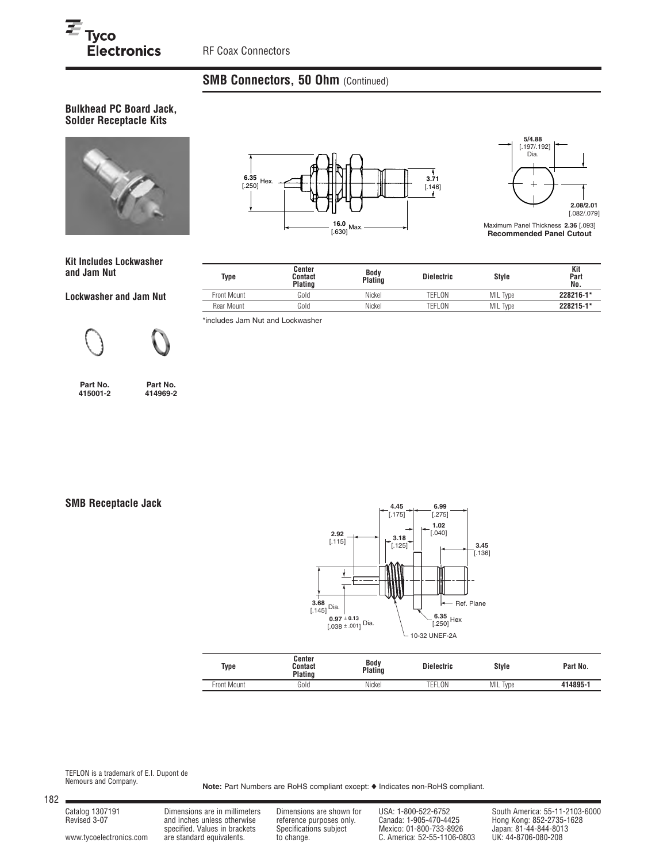# **SMB Connectors, 50 Ohm (Continued)**

**Bulkhead PC Board Jack, Solder Receptacle Kits**



**Kit Includes Lockwasher and Jam Nut**

**Lockwasher and Jam Nut**





**Part No. 415001-2**

**Part No. 414969-2**

**SMB Receptacle Jack**



| <b>Type</b> | Center<br>Contact<br>Plating | <b>Body</b><br>Plating | <b>Dielectric</b> | <b>Style</b>       | Part No. |
|-------------|------------------------------|------------------------|-------------------|--------------------|----------|
| Front Mount | Gold                         | Nickel                 | TEFLON            | MIL<br><b>lype</b> | 414895-1 |

TEFLON is a trademark of E.I. Dupont de Nemours and Company.

Note: Part Numbers are RoHS compliant except:  $\blacklozenge$  Indicates non-RoHS compliant.

182

Revised 3-07 and inches unless otherwise reference purposes only. Canada: 1-905-470-4425 Hong Kong: 852-2735-1628

specified. Values in brackets Specifications subject Mexico: 01-800-733-8926 Japan: 81-44-844-8013 www.tycoelectronics.com are standard equivalents. to change. C. America: 52-55-1106-0803 UK: 44-8706-080-208

Catalog 1307191 Dimensions are in millimeters Dimensions are shown for USA: 1-800-522-6752 South America: 55-11-2103-6000<br>Revised 3-07 and inches unless otherwise reference purposes only. Canada: 1-905-470-4425 Hong Kong:

**6.35** [.250]  $3.71$  $[.146]$ **16.0**  $[.630]$  Max. **Hex.** 



Maximum Panel Thickness **2.36** [.093] **Recommended Panel Cutout**

| Type        | Center<br>Contact<br>Plating | Body<br>Plating | <b>Dielectric</b> | <b>Style</b> | Kit<br>Part<br>No. |
|-------------|------------------------------|-----------------|-------------------|--------------|--------------------|
| Front Mount | Gold                         | Nickel          | TEFLON            | MIL Type     | 228216-1*          |
| Rear Mount  | Gold                         | Nickel          | TEFLON            | MIL Type     | 228215-1*          |

\*includes Jam Nut and Lockwasher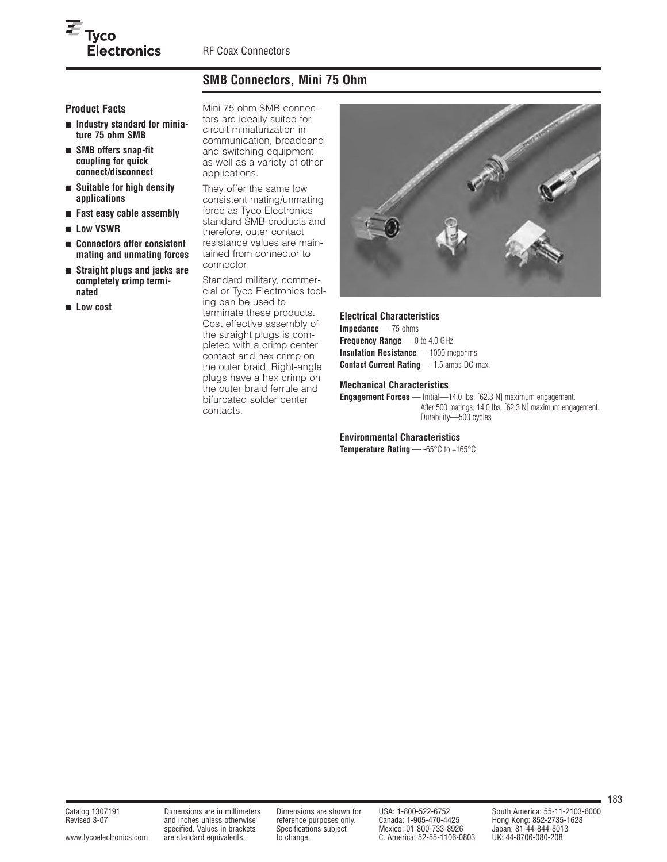# **SMB Connectors, Mini 75 Ohm**

## **Product Facts**

 $\overline{\equiv}_{\mathrm{Tyco}}$ 

■ **Industry standard for miniature 75 ohm SMB**

**Electronics** 

- **SMB offers snap-fit coupling for quick connect/disconnect**
- **Suitable for high density applications**
- **Fast easy cable assembly**
- **Low VSWR**
- **Connectors offer consistent mating and unmating forces**
- **Straight plugs and jacks are completely crimp terminated**
- **Low cost**

Mini 75 ohm SMB connectors are ideally suited for circuit miniaturization in communication, broadband and switching equipment as well as a variety of other applications.

They offer the same low consistent mating/unmating force as Tyco Electronics standard SMB products and therefore, outer contact resistance values are maintained from connector to connector.

Standard military, commercial or Tyco Electronics tooling can be used to terminate these products. Cost effective assembly of the straight plugs is completed with a crimp center contact and hex crimp on the outer braid. Right-angle plugs have a hex crimp on the outer braid ferrule and bifurcated solder center contacts.



#### **Electrical Characteristics**

**Impedance** — 75 ohms **Frequency Range** — 0 to 4.0 GHz **Insulation Resistance** — 1000 megohms **Contact Current Rating** — 1.5 amps DC max.

#### **Mechanical Characteristics**

**Engagement Forces** — Initial—14.0 lbs. [62.3 N] maximum engagement. After 500 matings, 14.0 lbs. [62.3 N] maximum engagement. Durability—500 cycles

#### **Environmental Characteristics**

**Temperature Rating** — -65°C to +165°C

Revised 3-07 and inches unless otherwise reference purposes only. Canada: 1-905-470-4425 Hong Kong: 852-2735-1628 specified. Values in brackets Specifications subject Mexico: 01-800-733-8926 Japan: 81-44-844-801<br>are standard equivalents. b change. (C. America: 52-55-1106-0803 UK: 44-8706-080-208 www.tycoelectronics.com are standard equivalents. to change. C. America: 52-55-1106-0803

Catalog 1307191 Dimensions are in millimeters Dimensions are shown for USA: 1-800-522-6752 South America: 55-11-2103-6000<br>Revised 3-07 and inches unless otherwise reference purposes only. Canada: 1-905-470-4425 Hong Kong: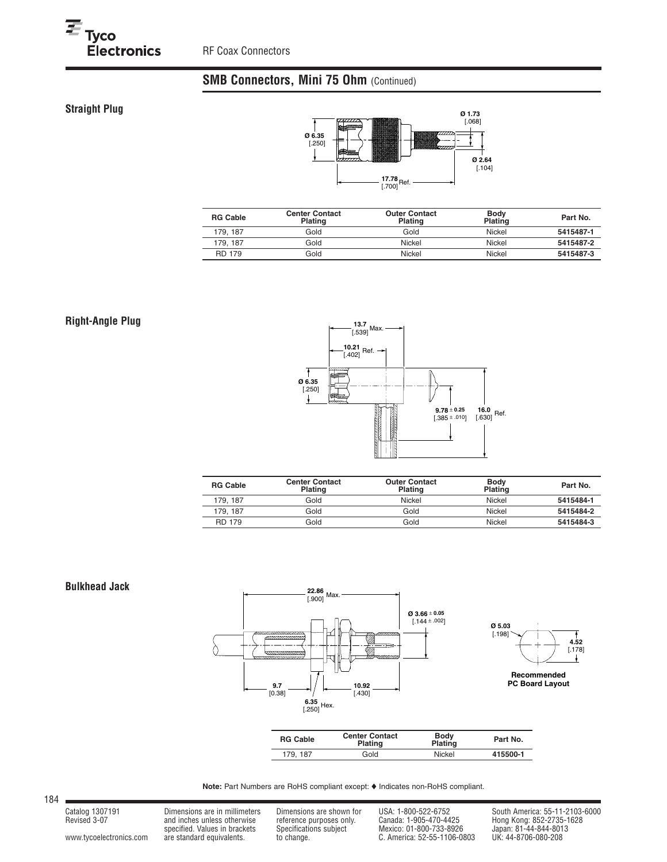# **SMB Connectors, Mini 75 Ohm (Continued)**

## **Straight Plug**



| <b>RG Cable</b> | <b>Center Contact</b><br><b>Plating</b> | <b>Outer Contact</b><br>Plating | <b>Body</b><br><b>Plating</b> | Part No.  |
|-----------------|-----------------------------------------|---------------------------------|-------------------------------|-----------|
| 179.187         | Gold                                    | Gold                            | Nickel                        | 5415487-1 |
| 179.187         | Gold                                    | Nickel                          | Nickel                        | 5415487-2 |
| <b>RD 179</b>   | Gold                                    | Nickel                          | Nickel                        | 5415487-3 |

## **Right-Angle Plug**



| <b>RG Cable</b> | <b>Center Contact</b><br><b>Plating</b> | <b>Outer Contact</b><br>Plating | <b>Body</b><br><b>Plating</b> | Part No.  |
|-----------------|-----------------------------------------|---------------------------------|-------------------------------|-----------|
| 179.187         | Gold                                    | Nickel                          | Nickel                        | 5415484-1 |
| 179.187         | Gold                                    | Gold                            | Nickel                        | 5415484-2 |
| <b>RD 179</b>   | Gold                                    | Gold                            | Nickel                        | 5415484-3 |

#### **Bulkhead Jack**





184

www.tycoelectronics.com are standard equivalents. to change. the change. C. America: 52-55-1106-0803 UK: 44-8706-080-208

Revised 3-07 and inches unless otherwise reference purposes only. Canada: 1-905-470-4425 Hong Kong: 852-2735-1628 specified. Values in brackets Specifications subject Mexico: 01-800-733-8926 Japan: 81-44-844-8013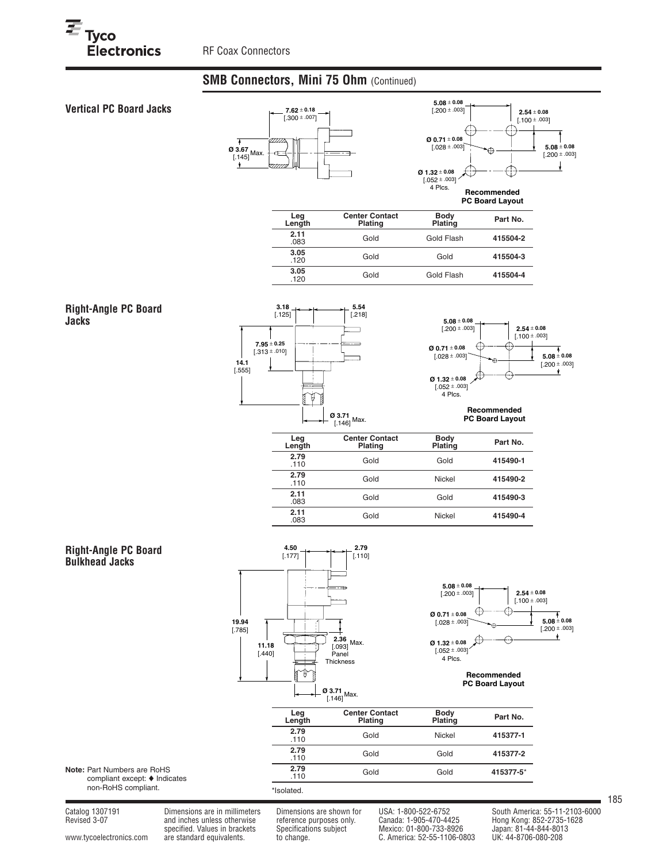## **SMB Connectors, Mini 75 Ohm** (Continued)



www.tycoelectronics.com are standard equivalents. to change. C. America: 52-55-1106-0803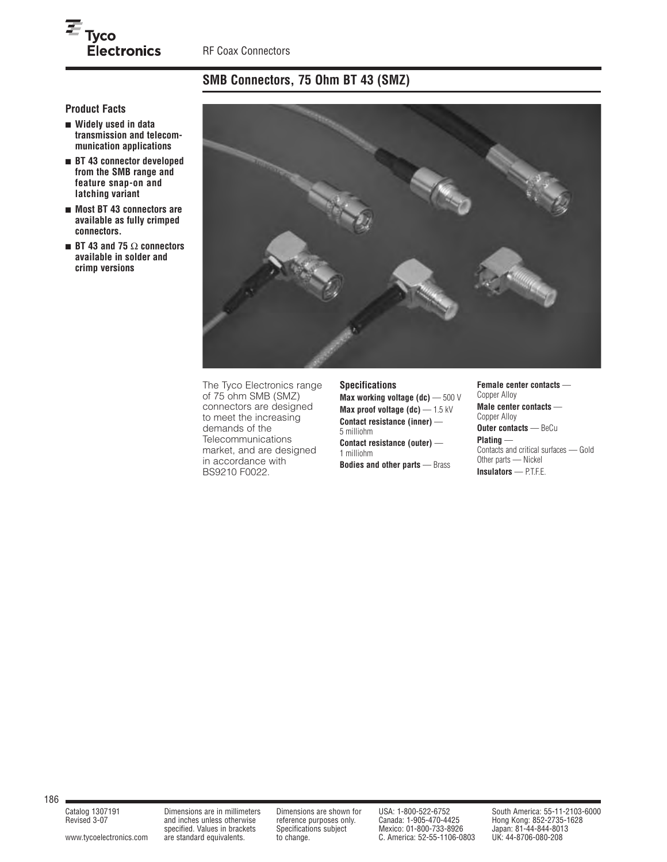# **SMB Connectors, 75 Ohm BT 43 (SMZ)**

**Product Facts**

 $\overline{\equiv}_{\mathrm{Tyco}}$ 

■ **Widely used in data transmission and telecommunication applications**

Electronics

- **BT 43 connector developed from the SMB range and feature snap-on and latching variant**
- **Most BT 43 connectors are available as fully crimped connectors.**
- **BT 43 and 75** Ω **connectors available in solder and crimp versions**



The Tyco Electronics range of 75 ohm SMB (SMZ) connectors are designed to meet the increasing demands of the **Telecommunications** market, and are designed in accordance with BS9210 F0022.

#### **Specifications**

**Max working voltage (dc)** — 500 V **Max proof voltage (dc)** — 1.5 kV **Contact resistance (inner)** — 5 milliohm **Contact resistance (outer)** — 1 milliohm **Bodies and other parts** — Brass

#### **Female center contacts** — Copper Alloy **Male center contacts** — Copper Alloy **Outer contacts** — BeCu **Plating** — Contacts and critical surfaces — Gold Other parts — Nickel

**Insulators** — P.T.F.E.

186

and inches unless otherwise reference purposes only.<br>
specified. Values in brackets Specifications subject www.tycoelectronics.com are standard equivalents. to change. C. America: 52-55-1106-0803

and inches unless otherwise<br>specified. Values in brackets Specifications subject Mexico: 01-800-733-8926 Japan: 81-44-844-8013<br>are standard equivalents. to change. C. America: 52-55-1106-0803 UK: 44-8706-080-208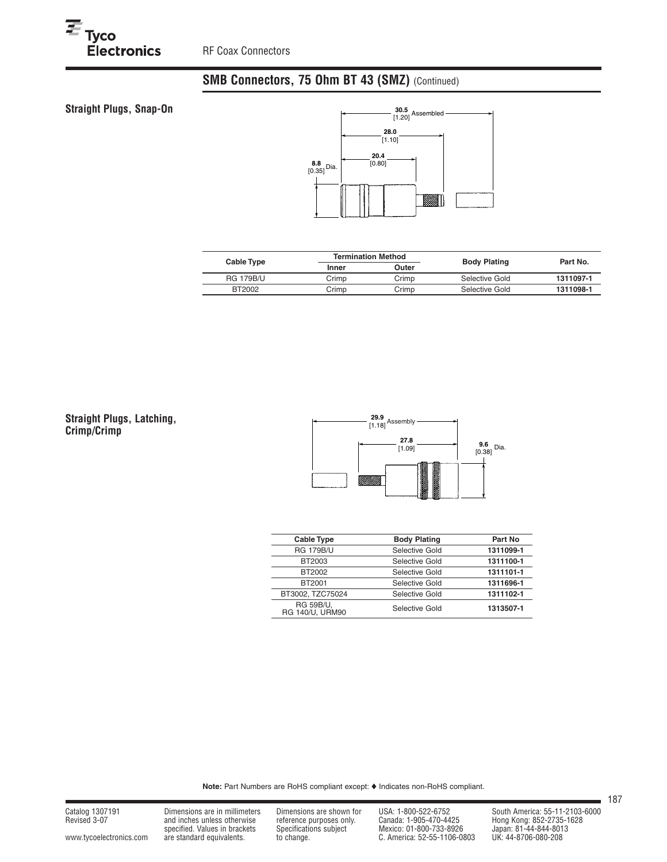**Straight Plugs, Snap-On** 

 $E_{\text{Tyco}}$ <br>Electronics



|       |       | Part No.                  |                     |
|-------|-------|---------------------------|---------------------|
| Inner | Outer |                           |                     |
| Crimp | Crimp | Selective Gold            | 1311097-1           |
| Crimp | Crimp | Selective Gold            | 1311098-1           |
|       |       | <b>Termination Method</b> | <b>Body Plating</b> |

**Straight Plugs, Latching, Crimp/Crimp**



| <b>Cable Type</b>                   | <b>Body Plating</b> | Part No   |
|-------------------------------------|---------------------|-----------|
| <b>RG 179B/U</b>                    | Selective Gold      | 1311099-1 |
| BT2003                              | Selective Gold      | 1311100-1 |
| BT2002                              | Selective Gold      | 1311101-1 |
| BT2001                              | Selective Gold      | 1311696-1 |
| BT3002, TZC75024                    | Selective Gold      | 1311102-1 |
| <b>RG 59B/U,</b><br>RG 140/U, URM90 | Selective Gold      | 1313507-1 |

Note: Part Numbers are RoHS compliant except:  $\blacklozenge$  Indicates non-RoHS compliant.

Catalog 1307191 Dimensions are in millimeters Dimensions are shown for USA: 1-800-522-6752 South America: 55-11-2103-6000<br>Revised 3-07 and inches unless otherwise reference purposes only. Canada: 1-905-470-4425 Hong Kong: Revised 3-07 and inches unless otherwise reference purposes only. Canada: 1-905-470-4425 Hong Kong: 852-2735-1628 specified. Values in brackets Specifications subject Mexico: 01-800-733-8926 Japan: 81-44-844-8013 www.tycoelectronics.com are standard equivalents. to change. C. America: 52-55-1106-0803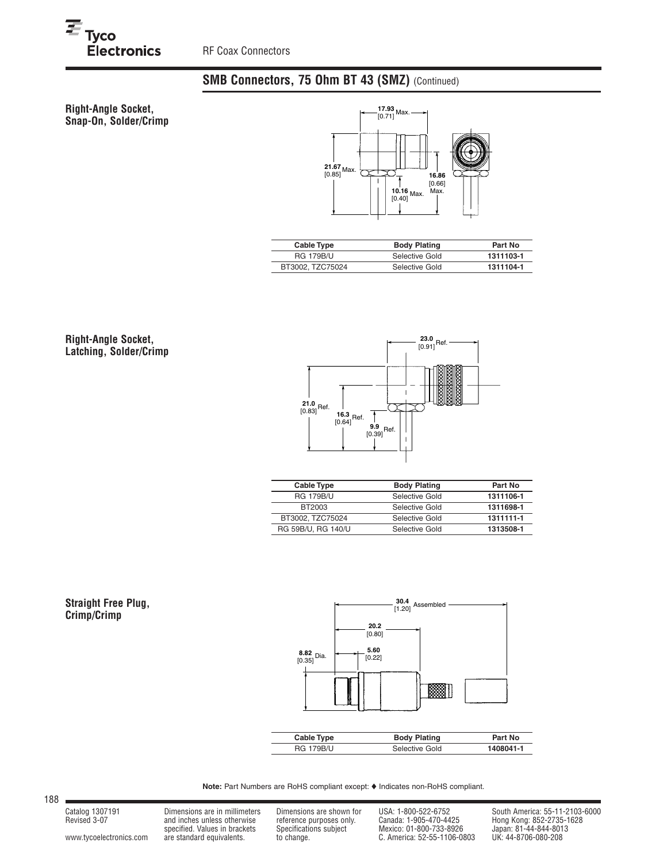

 $E_{\text{Tyco}}$ <br>Electronics



| Cable Type       | <b>Body Plating</b> | Part No   |
|------------------|---------------------|-----------|
| <b>RG 179B/U</b> | Selective Gold      | 1311103-1 |
| BT3002, TZC75024 | Selective Gold      | 1311104-1 |

**Right-Angle Socket, Latching, Solder/Crimp**



| Cable Type         | <b>Body Plating</b> | Part No   |
|--------------------|---------------------|-----------|
| <b>RG 179B/U</b>   | Selective Gold      | 1311106-1 |
| BT2003             | Selective Gold      | 1311698-1 |
| BT3002, TZC75024   | Selective Gold      | 1311111-1 |
| RG 59B/U, RG 140/U | Selective Gold      | 1313508-1 |

#### **Straight Free Plug, Crimp/Crimp**



Note: Part Numbers are RoHS compliant except:  $\blacklozenge$  Indicates non-RoHS compliant.

188

www.tycoelectronics.com are standard equivalents. to change. C. America: 52-55-1106-0803 UK: 44-8706-080-208

Revised 3-07 and inches unless otherwise reference purposes only. Canada: 1-905-470-4425 Hong Kong: 852-2735-1628 specified. Values in brackets Specifications subject Mexico: 01-800-733-8926 Japan: 81-44-844-8013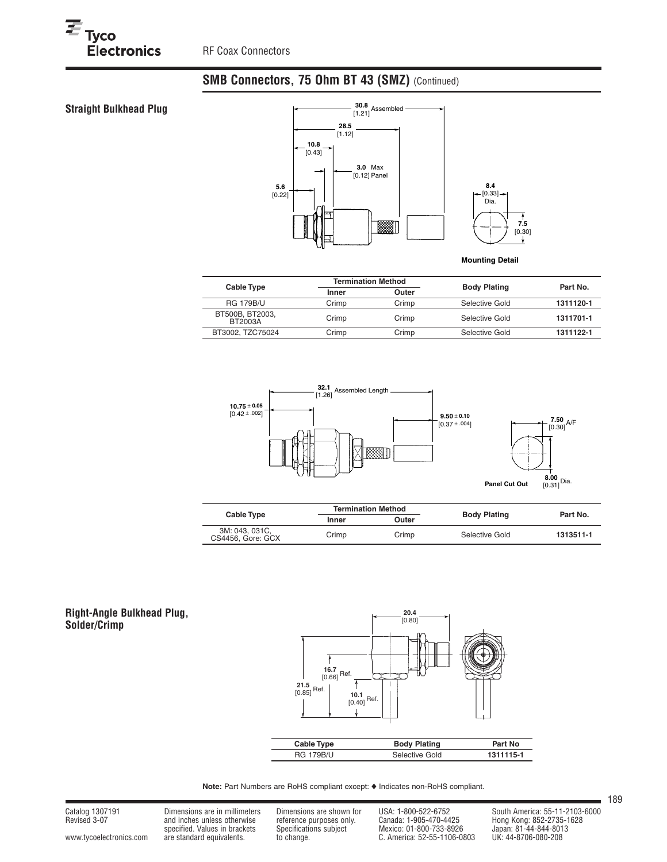$E_{\text{Tyco}}$ <br>Electronics



**Mounting Detail**

**7.5** [0.30]

T

| <b>Cable Type</b>          | <b>Termination Method</b> |       | <b>Body Plating</b> | Part No.  |  |
|----------------------------|---------------------------|-------|---------------------|-----------|--|
|                            | Inner                     | Outer |                     |           |  |
| <b>RG 179B/U</b>           | Crimp                     | Crimp | Selective Gold      | 1311120-1 |  |
| BT500B, BT2003.<br>BT2003A | Crimp                     | Crimp | Selective Gold      | 1311701-1 |  |
| BT3002, TZC75024           | Crimp                     | Crimp | Selective Gold      | 1311122-1 |  |



| Cable Type                          | <b>Termination Method</b> |       | <b>Body Plating</b> | Part No.  |  |
|-------------------------------------|---------------------------|-------|---------------------|-----------|--|
|                                     | Inner                     | Outer |                     |           |  |
| 3M: 043, 031C,<br>CS4456, Gore: GCX | Crimp                     | Crimp | Selective Gold      | 1313511-1 |  |

#### **Right-Angle Bulkhead Plug, Solder/Crimp**



Note: Part Numbers are RoHS compliant except:  $\blacklozenge$  Indicates non-RoHS compliant.

Catalog 1307191 Dimensions are in millimeters Dimensions are shown for USA: 1-800-522-6752 South America: 55-11-2103-6000<br>Revised 3-07 and inches unless otherwise reference purposes only. Canada: 1-905-470-4425 Hong Kong: Revised 3-07 and inches unless otherwise reference purposes only. Canada: 1-905-470-4425 Hong Kong: 852-2735-1628 specified. Values in brackets Specifications subject Mexico: 01-800-733-8926 Japan: 81-44-844-8013 www.tycoelectronics.com are standard equivalents. to change. C. America: 52-55-1106-0803 UK: 44-8706-080-208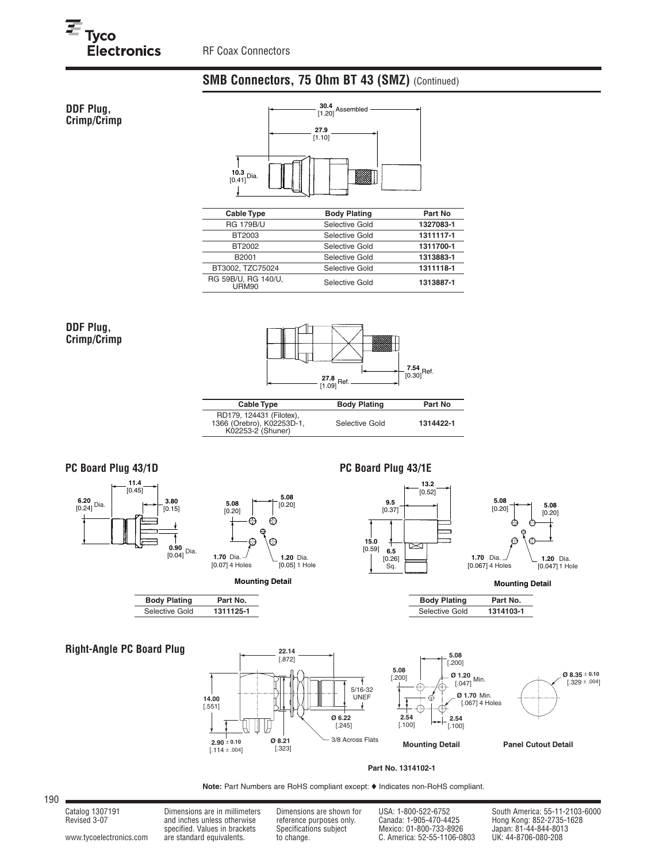

<sup>三</sup><br>Tyco<br>Llectronics



| <b>Cable Type</b>                   | <b>Body Plating</b> | Part No   |
|-------------------------------------|---------------------|-----------|
| <b>RG 179B/U</b>                    | Selective Gold      | 1327083-1 |
| BT2003                              | Selective Gold      | 1311117-1 |
| BT2002                              | Selective Gold      | 1311700-1 |
| B <sub>2001</sub>                   | Selective Gold      | 1313883-1 |
| BT3002, TZC75024                    | Selective Gold      | 1311118-1 |
| RG 59B/U, RG 140/U,<br><b>URM90</b> | Selective Gold      | 1313887-1 |

### **DDF Plug, Crimp/Crimp**



| Cable Type                                                                 | Body Plating   | Part No   |
|----------------------------------------------------------------------------|----------------|-----------|
| RD179, 124431 (Filotex),<br>1366 (Orebro), K02253D-1,<br>K02253-2 (Shuner) | Selective Gold | 1314422-1 |

## **PC Board Plug 43/1D**





## **PC Board Plug 43/1E**



**Mounting Detail**

| <b>Body Plating</b> | Part No.  |  |  |  |  |
|---------------------|-----------|--|--|--|--|
| Selective Gold      | 1314103-1 |  |  |  |  |

## **Right-Angle PC Board Plug** 22.14



 $\overline{a}$ 

#### **Part No. 1314102-1**

Note: Part Numbers are RoHS compliant except:  $\blacklozenge$  Indicates non-RoHS compliant.

190

**Body Plating Part No.**<br>Selective Gold 1311125-1

**Selective Gold** 

Revised 3-07 and inches unless otherwise reference purposes only. Canada: 1-905-470-4425 Hong Kong: 852-2735-1628 specified. Values in brackets Specifications subject Mexico: 01-800-733-8926 Japan: 81-44-844-8013 www.tycoelectronics.com are standard equivalents. to change. C. America: 52-55-1106-0803 UK: 44-8706-080-208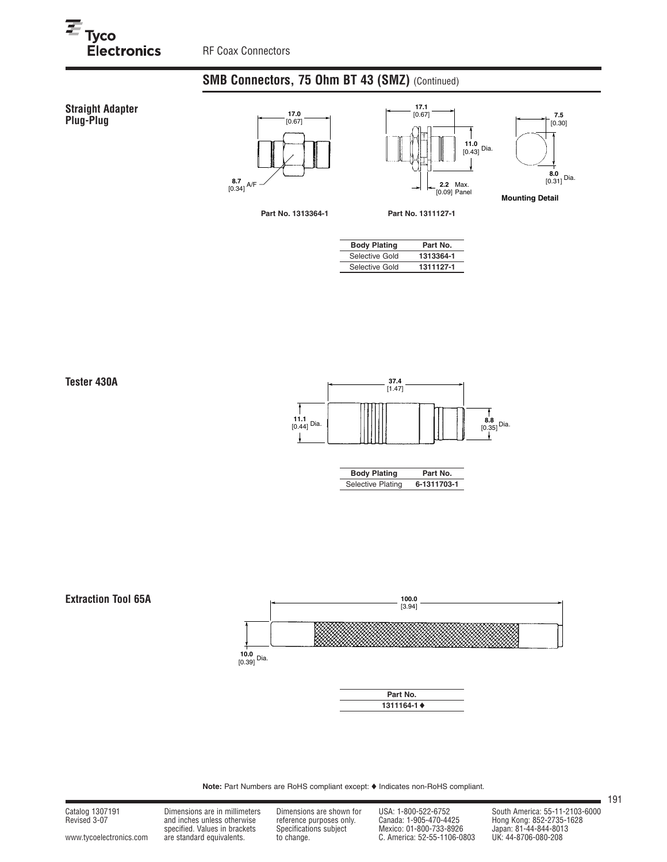## **Straight Adapter Plug-Plug 17.0**<br> **Plug-Plug 17.0**







**Mounting Detail**

**Part No. 1313364-1 Part No. 1311127-1**

| <b>Body Plating</b> | Part No.  |
|---------------------|-----------|
| Selective Gold      | 1313364-1 |

Selective Gold **1311127-1**



| <b>Body Plating</b>      | Part No.    |  |  |  |  |
|--------------------------|-------------|--|--|--|--|
| <b>Selective Plating</b> | 6-1311703-1 |  |  |  |  |



Note: Part Numbers are RoHS compliant except:  $\blacklozenge$  Indicates non-RoHS compliant.

Catalog 1307191 Dimensions are in millimeters Dimensions are shown for USA: 1-800-522-6752 South America: 55-11-2103-6000<br>Revised 3-07 and inches unless otherwise reference purposes only. Canada: 1-905-470-4425 Hong Kong:

Revised 3-07 and inches unless otherwise reference purposes only. Canada: 1-905-470-4425 Hong Kong: 852-2735-1628 specified. Values in brackets Specifications subject Mexico: 01-800-733-8926 Japan: 81-44-844-8013 www.tycoelectronics.com are standard equivalents. to change. C. America: 52-55-1106-0803 UK: 44-8706-080-208